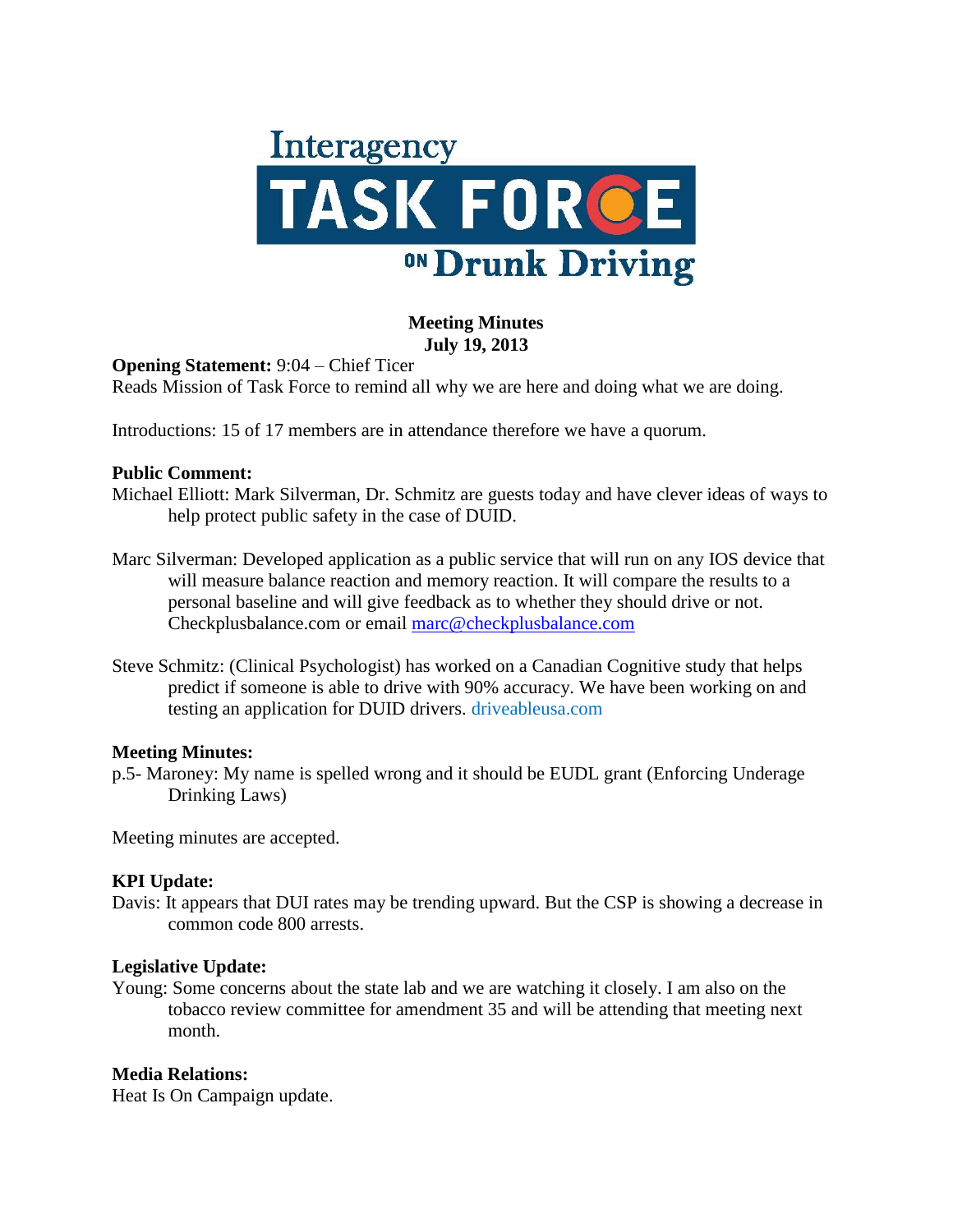

### **Meeting Minutes July 19, 2013**

**Opening Statement:** 9:04 – Chief Ticer

Reads Mission of Task Force to remind all why we are here and doing what we are doing.

Introductions: 15 of 17 members are in attendance therefore we have a quorum.

#### **Public Comment:**

Michael Elliott: Mark Silverman, Dr. Schmitz are guests today and have clever ideas of ways to help protect public safety in the case of DUID.

- Marc Silverman: Developed application as a public service that will run on any IOS device that will measure balance reaction and memory reaction. It will compare the results to a personal baseline and will give feedback as to whether they should drive or not. Checkplusbalance.com or email [marc@checkplusbalance.com](mailto:marc@checkplusbalance.com)
- Steve Schmitz: (Clinical Psychologist) has worked on a Canadian Cognitive study that helps predict if someone is able to drive with 90% accuracy. We have been working on and testing an application for DUID drivers. driveableusa.com

### **Meeting Minutes:**

p.5- Maroney: My name is spelled wrong and it should be EUDL grant (Enforcing Underage Drinking Laws)

Meeting minutes are accepted.

### **KPI Update:**

Davis: It appears that DUI rates may be trending upward. But the CSP is showing a decrease in common code 800 arrests.

### **Legislative Update:**

Young: Some concerns about the state lab and we are watching it closely. I am also on the tobacco review committee for amendment 35 and will be attending that meeting next month.

### **Media Relations:**

Heat Is On Campaign update.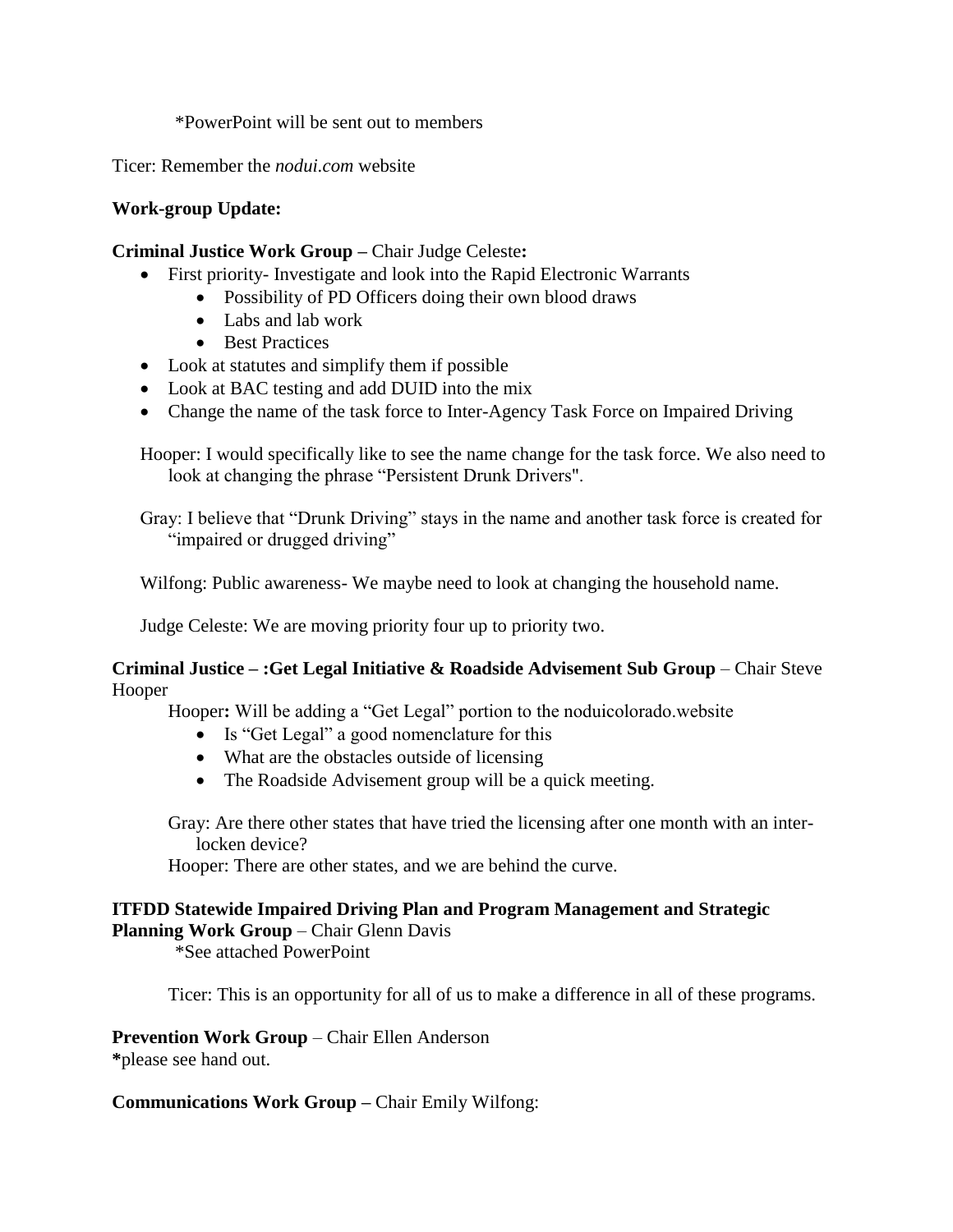\*PowerPoint will be sent out to members

Ticer: Remember the *nodui.com* website

## **Work-group Update:**

### **Criminal Justice Work Group –** Chair Judge Celeste**:**

- First priority- Investigate and look into the Rapid Electronic Warrants
	- Possibility of PD Officers doing their own blood draws
	- Labs and lab work
	- Best Practices
- Look at statutes and simplify them if possible
- Look at BAC testing and add DUID into the mix
- Change the name of the task force to Inter-Agency Task Force on Impaired Driving

Hooper: I would specifically like to see the name change for the task force. We also need to look at changing the phrase "Persistent Drunk Drivers".

Gray: I believe that "Drunk Driving" stays in the name and another task force is created for "impaired or drugged driving"

Wilfong: Public awareness- We maybe need to look at changing the household name.

Judge Celeste: We are moving priority four up to priority two.

**Criminal Justice – :Get Legal Initiative & Roadside Advisement Sub Group** – Chair Steve Hooper

Hooper**:** Will be adding a "Get Legal" portion to the noduicolorado.website

- Is "Get Legal" a good nomenclature for this
- What are the obstacles outside of licensing
- The Roadside Advisement group will be a quick meeting.

Gray: Are there other states that have tried the licensing after one month with an interlocken device?

Hooper: There are other states, and we are behind the curve.

# **ITFDD Statewide Impaired Driving Plan and Program Management and Strategic**

**Planning Work Group** – Chair Glenn Davis

\*See attached PowerPoint

Ticer: This is an opportunity for all of us to make a difference in all of these programs.

**Prevention Work Group** – Chair Ellen Anderson

**\***please see hand out.

**Communications Work Group –** Chair Emily Wilfong: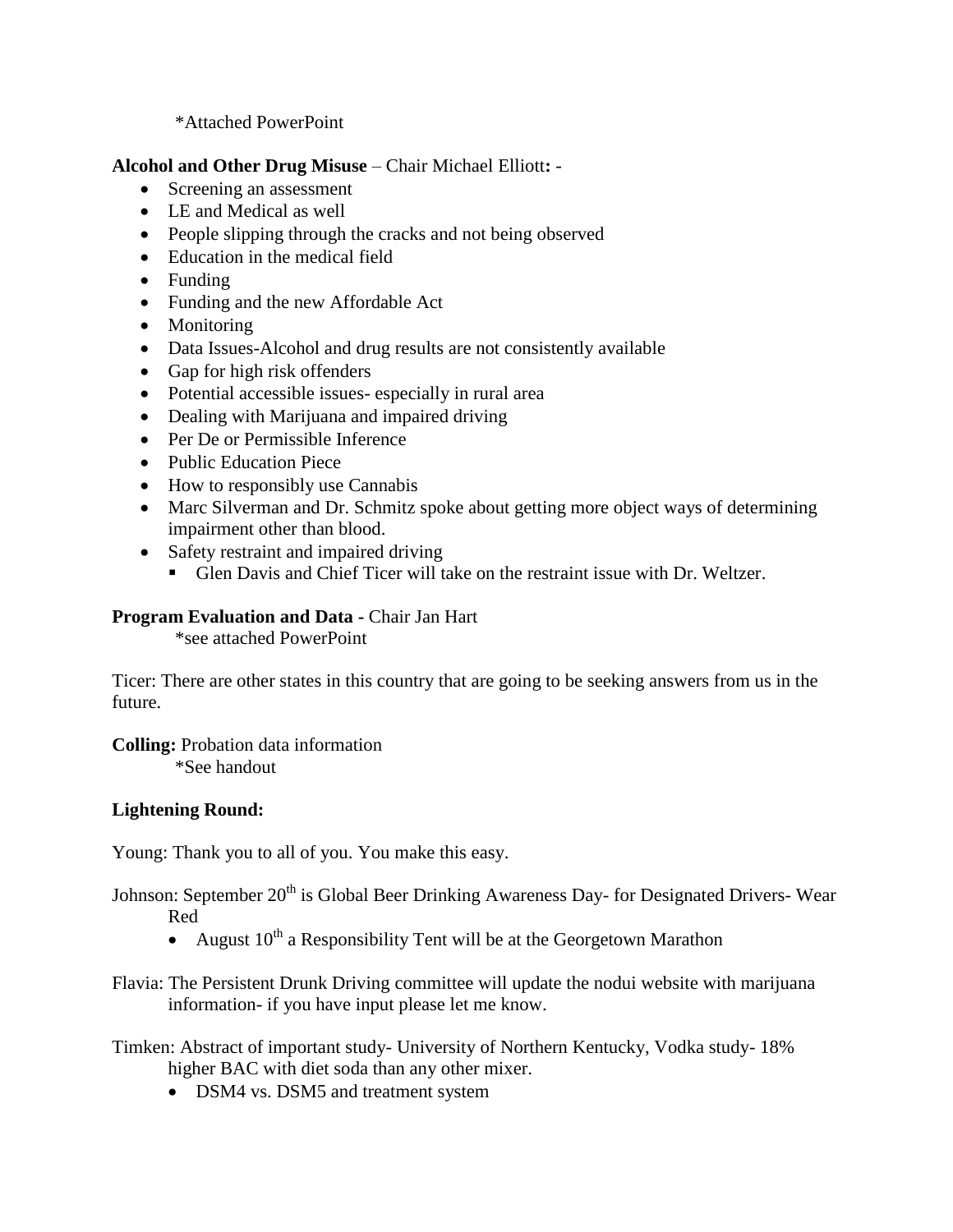### \*Attached PowerPoint

**Alcohol and Other Drug Misuse** – Chair Michael Elliott**:** -

- Screening an assessment
- LE and Medical as well
- People slipping through the cracks and not being observed
- Education in the medical field
- Funding
- Funding and the new Affordable Act
- Monitoring
- Data Issues-Alcohol and drug results are not consistently available
- Gap for high risk offenders
- Potential accessible issues- especially in rural area
- Dealing with Marijuana and impaired driving
- Per De or Permissible Inference
- Public Education Piece
- How to responsibly use Cannabis
- Marc Silverman and Dr. Schmitz spoke about getting more object ways of determining impairment other than blood.
- Safety restraint and impaired driving
	- Glen Davis and Chief Ticer will take on the restraint issue with Dr. Weltzer.

### **Program Evaluation and Data -** Chair Jan Hart

\*see attached PowerPoint

Ticer: There are other states in this country that are going to be seeking answers from us in the future.

**Colling:** Probation data information \*See handout

### **Lightening Round:**

Young: Thank you to all of you. You make this easy.

Johnson: September 20<sup>th</sup> is Global Beer Drinking Awareness Day- for Designated Drivers- Wear Red

- August  $10^{th}$  a Responsibility Tent will be at the Georgetown Marathon
- Flavia: The Persistent Drunk Driving committee will update the nodui website with marijuana information- if you have input please let me know.

Timken: Abstract of important study- University of Northern Kentucky, Vodka study- 18% higher BAC with diet soda than any other mixer.

• DSM4 vs. DSM5 and treatment system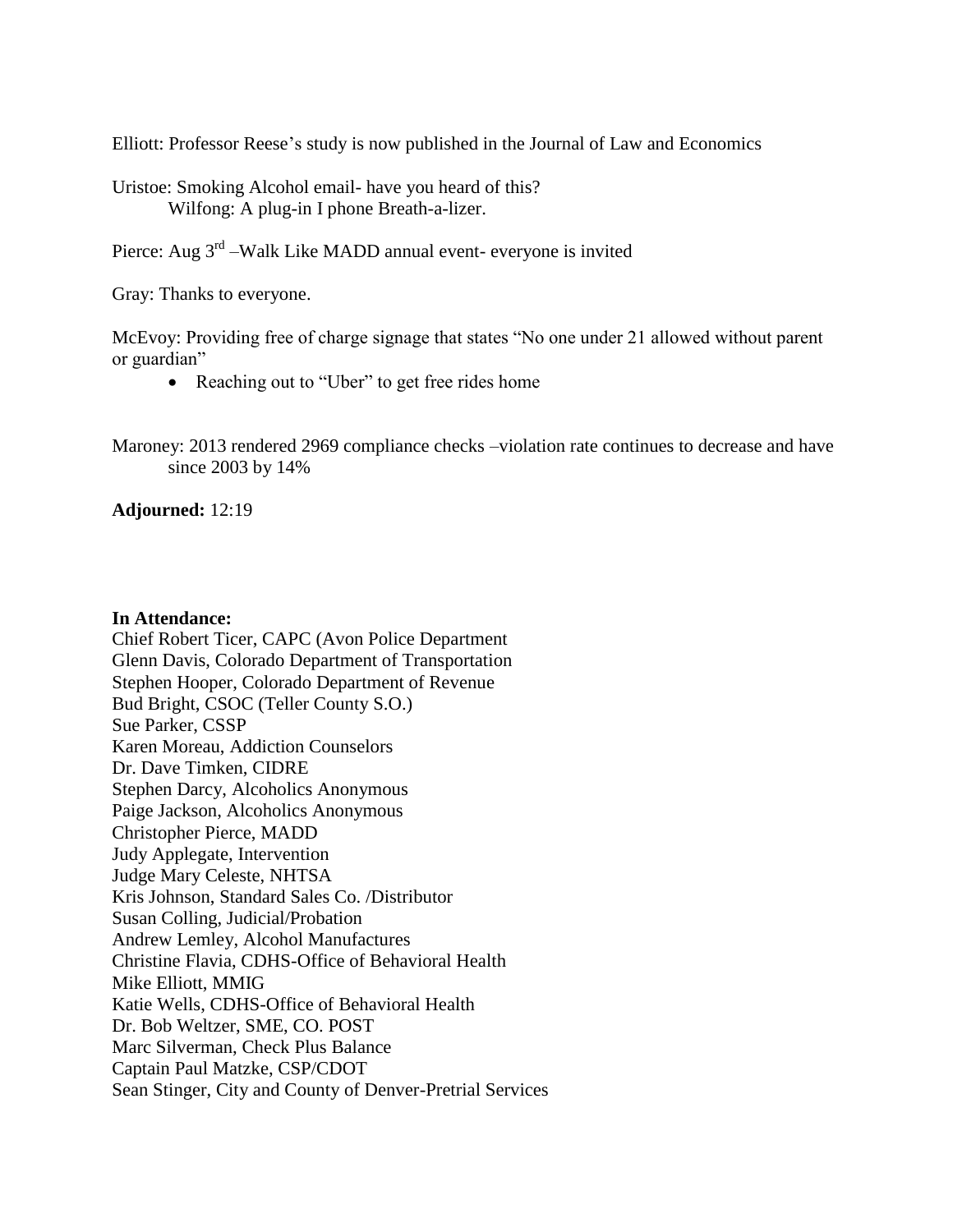Elliott: Professor Reese's study is now published in the Journal of Law and Economics

Uristoe: Smoking Alcohol email- have you heard of this? Wilfong: A plug-in I phone Breath-a-lizer.

Pierce: Aug 3<sup>rd</sup> –Walk Like MADD annual event- everyone is invited

Gray: Thanks to everyone.

McEvoy: Providing free of charge signage that states "No one under 21 allowed without parent or guardian"

- Reaching out to "Uber" to get free rides home
- Maroney: 2013 rendered 2969 compliance checks –violation rate continues to decrease and have since 2003 by 14%

**Adjourned:** 12:19

#### **In Attendance:**

Chief Robert Ticer, CAPC (Avon Police Department Glenn Davis, Colorado Department of Transportation Stephen Hooper, Colorado Department of Revenue Bud Bright, CSOC (Teller County S.O.) Sue Parker, CSSP Karen Moreau, Addiction Counselors Dr. Dave Timken, CIDRE Stephen Darcy, Alcoholics Anonymous Paige Jackson, Alcoholics Anonymous Christopher Pierce, MADD Judy Applegate, Intervention Judge Mary Celeste, NHTSA Kris Johnson, Standard Sales Co. /Distributor Susan Colling, Judicial/Probation Andrew Lemley, Alcohol Manufactures Christine Flavia, CDHS-Office of Behavioral Health Mike Elliott, MMIG Katie Wells, CDHS-Office of Behavioral Health Dr. Bob Weltzer, SME, CO. POST Marc Silverman, Check Plus Balance Captain Paul Matzke, CSP/CDOT Sean Stinger, City and County of Denver-Pretrial Services